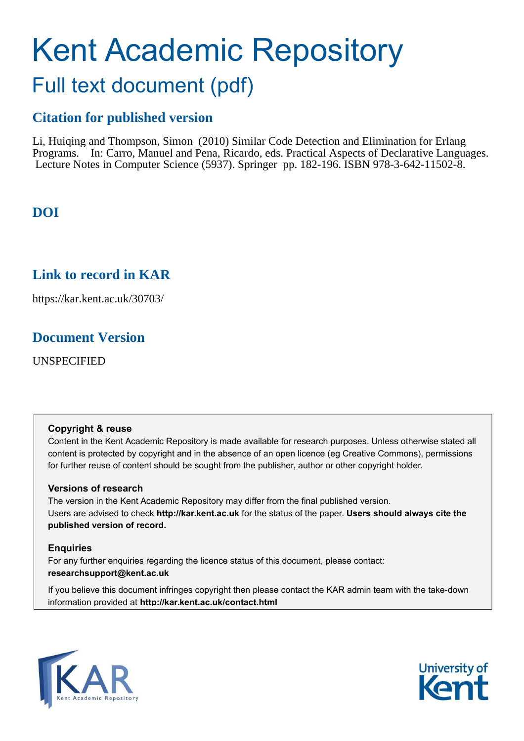# Kent Academic Repository

## Full text document (pdf)

## **Citation for published version**

Li, Huiqing and Thompson, Simon (2010) Similar Code Detection and Elimination for Erlang Programs. In: Carro, Manuel and Pena, Ricardo, eds. Practical Aspects of Declarative Languages. Lecture Notes in Computer Science (5937). Springer pp. 182-196. ISBN 978-3-642-11502-8.

## **DOI**

## **Link to record in KAR**

https://kar.kent.ac.uk/30703/

## **Document Version**

UNSPECIFIED

#### **Copyright & reuse**

Content in the Kent Academic Repository is made available for research purposes. Unless otherwise stated all content is protected by copyright and in the absence of an open licence (eg Creative Commons), permissions for further reuse of content should be sought from the publisher, author or other copyright holder.

#### **Versions of research**

The version in the Kent Academic Repository may differ from the final published version. Users are advised to check **http://kar.kent.ac.uk** for the status of the paper. **Users should always cite the published version of record.**

#### **Enquiries**

For any further enquiries regarding the licence status of this document, please contact: **researchsupport@kent.ac.uk**

If you believe this document infringes copyright then please contact the KAR admin team with the take-down information provided at **http://kar.kent.ac.uk/contact.html**



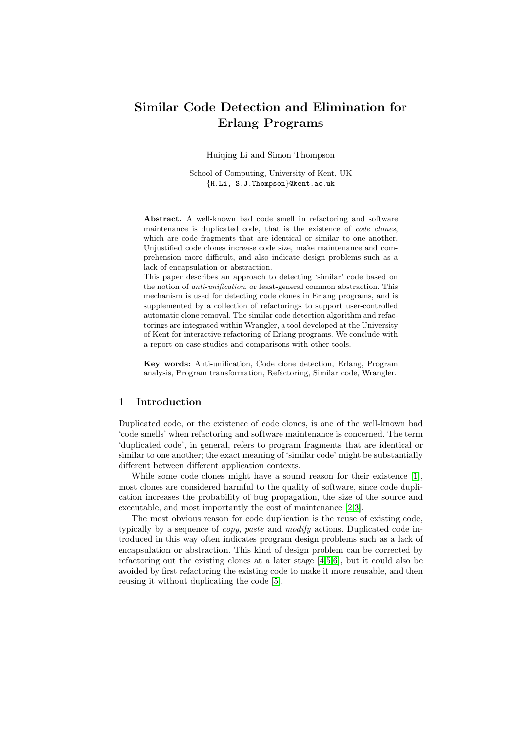### Similar Code Detection and Elimination for Erlang Programs

Huiqing Li and Simon Thompson

School of Computing, University of Kent, UK {H.Li, S.J.Thompson}@kent.ac.uk

Abstract. A well-known bad code smell in refactoring and software maintenance is duplicated code, that is the existence of code clones, which are code fragments that are identical or similar to one another. Unjustified code clones increase code size, make maintenance and comprehension more difficult, and also indicate design problems such as a lack of encapsulation or abstraction.

This paper describes an approach to detecting 'similar' code based on the notion of anti-unification, or least-general common abstraction. This mechanism is used for detecting code clones in Erlang programs, and is supplemented by a collection of refactorings to support user-controlled automatic clone removal. The similar code detection algorithm and refactorings are integrated within Wrangler, a tool developed at the University of Kent for interactive refactoring of Erlang programs. We conclude with a report on case studies and comparisons with other tools.

Key words: Anti-unification, Code clone detection, Erlang, Program analysis, Program transformation, Refactoring, Similar code, Wrangler.

#### 1 Introduction

Duplicated code, or the existence of code clones, is one of the well-known bad 'code smells' when refactoring and software maintenance is concerned. The term 'duplicated code', in general, refers to program fragments that are identical or similar to one another; the exact meaning of 'similar code' might be substantially different between different application contexts.

While some code clones might have a sound reason for their existence [\[1\]](#page-13-0), most clones are considered harmful to the quality of software, since code duplication increases the probability of bug propagation, the size of the source and executable, and most importantly the cost of maintenance [\[2,](#page-13-1)[3\]](#page-13-2).

<span id="page-1-0"></span>The most obvious reason for code duplication is the reuse of existing code, typically by a sequence of copy, paste and modify actions. Duplicated code introduced in this way often indicates program design problems such as a lack of encapsulation or abstraction. This kind of design problem can be corrected by refactoring out the existing clones at a later stage [\[4](#page-14-0)[,5,](#page-14-1)[6\]](#page-14-2), but it could also be avoided by first refactoring the existing code to make it more reusable, and then reusing it without duplicating the code [\[5\]](#page-14-1).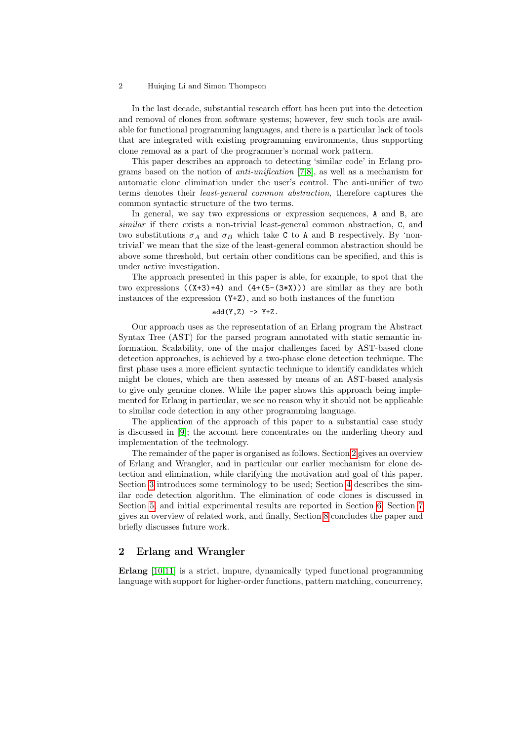In the last decade, substantial research effort has been put into the detection and removal of clones from software systems; however, few such tools are available for functional programming languages, and there is a particular lack of tools that are integrated with existing programming environments, thus supporting clone removal as a part of the programmer's normal work pattern.

This paper describes an approach to detecting 'similar code' in Erlang programs based on the notion of anti-unification [\[7,](#page-14-3)[8\]](#page-14-4), as well as a mechanism for automatic clone elimination under the user's control. The anti-unifier of two terms denotes their least-general common abstraction, therefore captures the common syntactic structure of the two terms.

In general, we say two expressions or expression sequences, A and B, are similar if there exists a non-trivial least-general common abstraction, C, and two substitutions  $\sigma_A$  and  $\sigma_B$  which take C to A and B respectively. By 'nontrivial' we mean that the size of the least-general common abstraction should be above some threshold, but certain other conditions can be specified, and this is under active investigation.

The approach presented in this paper is able, for example, to spot that the two expressions  $((X+3)+4)$  and  $(4+(5-(3*X)))$  are similar as they are both instances of the expression (Y+Z), and so both instances of the function

#### $add(Y,Z) \rightarrow Y+Z.$

Our approach uses as the representation of an Erlang program the Abstract Syntax Tree (AST) for the parsed program annotated with static semantic information. Scalability, one of the major challenges faced by AST-based clone detection approaches, is achieved by a two-phase clone detection technique. The first phase uses a more efficient syntactic technique to identify candidates which might be clones, which are then assessed by means of an AST-based analysis to give only genuine clones. While the paper shows this approach being implemented for Erlang in particular, we see no reason why it should not be applicable to similar code detection in any other programming language.

The application of the approach of this paper to a substantial case study is discussed in [\[9\]](#page-14-5); the account here concentrates on the underling theory and implementation of the technology.

The remainder of the paper is organised as follows. Section [2](#page-1-0) gives an overview of Erlang and Wrangler, and in particular our earlier mechanism for clone detection and elimination, while clarifying the motivation and goal of this paper. Section [3](#page-3-0) introduces some terminology to be used; Section [4](#page-4-0) describes the similar code detection algorithm. The elimination of code clones is discussed in Section [5,](#page-8-0) and initial experimental results are reported in Section [6.](#page-10-0) Section [7](#page-11-0) gives an overview of related work, and finally, Section [8](#page-13-3) concludes the paper and briefly discusses future work.

#### 2 Erlang and Wrangler

Erlang [\[10](#page-14-6)[,11\]](#page-14-7) is a strict, impure, dynamically typed functional programming language with support for higher-order functions, pattern matching, concurrency,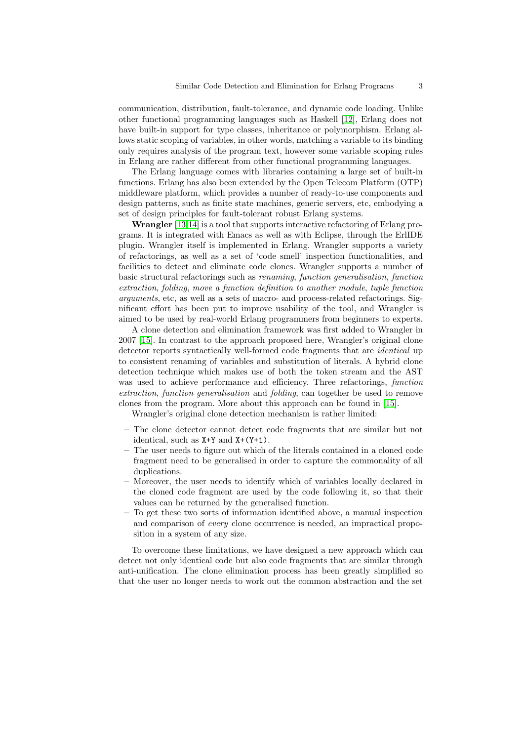communication, distribution, fault-tolerance, and dynamic code loading. Unlike other functional programming languages such as Haskell [\[12\]](#page-14-8), Erlang does not have built-in support for type classes, inheritance or polymorphism. Erlang allows static scoping of variables, in other words, matching a variable to its binding only requires analysis of the program text, however some variable scoping rules in Erlang are rather different from other functional programming languages.

<span id="page-3-0"></span>The Erlang language comes with libraries containing a large set of built-in functions. Erlang has also been extended by the Open Telecom Platform (OTP) middleware platform, which provides a number of ready-to-use components and design patterns, such as finite state machines, generic servers, etc, embodying a set of design principles for fault-tolerant robust Erlang systems.

Wrangler [\[13,](#page-14-9)[14\]](#page-14-10) is a tool that supports interactive refactoring of Erlang programs. It is integrated with Emacs as well as with Eclipse, through the ErlIDE plugin. Wrangler itself is implemented in Erlang. Wrangler supports a variety of refactorings, as well as a set of 'code smell' inspection functionalities, and facilities to detect and eliminate code clones. Wrangler supports a number of basic structural refactorings such as renaming, function generalisation, function extraction, folding, move a function definition to another module, tuple function arguments, etc, as well as a sets of macro- and process-related refactorings. Significant effort has been put to improve usability of the tool, and Wrangler is aimed to be used by real-world Erlang programmers from beginners to experts.

A clone detection and elimination framework was first added to Wrangler in 2007 [\[15\]](#page-14-11). In contrast to the approach proposed here, Wrangler's original clone detector reports syntactically well-formed code fragments that are identical up to consistent renaming of variables and substitution of literals. A hybrid clone detection technique which makes use of both the token stream and the AST was used to achieve performance and efficiency. Three refactorings, *function* extraction, function generalisation and folding, can together be used to remove clones from the program. More about this approach can be found in [\[15\]](#page-14-11).

Wrangler's original clone detection mechanism is rather limited:

- The clone detector cannot detect code fragments that are similar but not identical, such as  $X+Y$  and  $X+(Y+1)$ .
- The user needs to figure out which of the literals contained in a cloned code fragment need to be generalised in order to capture the commonality of all duplications.
- Moreover, the user needs to identify which of variables locally declared in the cloned code fragment are used by the code following it, so that their values can be returned by the generalised function.
- To get these two sorts of information identified above, a manual inspection and comparison of every clone occurrence is needed, an impractical proposition in a system of any size.

To overcome these limitations, we have designed a new approach which can detect not only identical code but also code fragments that are similar through anti-unification. The clone elimination process has been greatly simplified so that the user no longer needs to work out the common abstraction and the set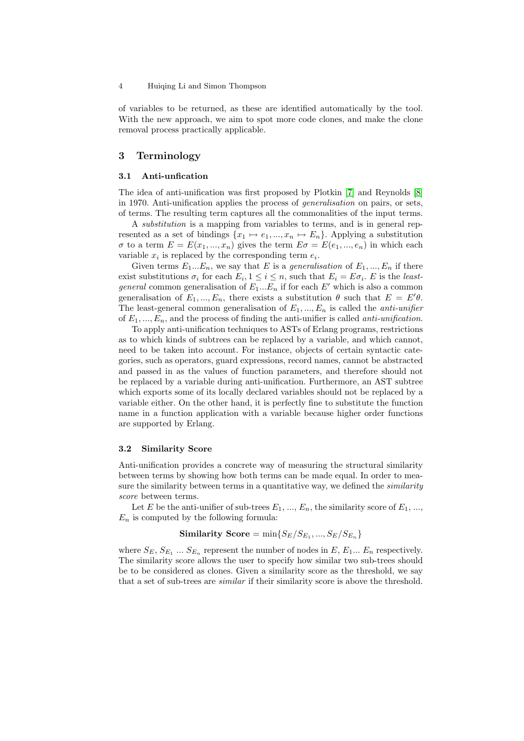<span id="page-4-1"></span>of variables to be returned, as these are identified automatically by the tool. With the new approach, we aim to spot more code clones, and make the clone removal process practically applicable.

#### 3 Terminology

#### 3.1 Anti-unfication

The idea of anti-unification was first proposed by Plotkin [\[7\]](#page-14-3) and Reynolds [\[8\]](#page-14-4) in 1970. Anti-unification applies the process of generalisation on pairs, or sets, of terms. The resulting term captures all the commonalities of the input terms.

A substitution is a mapping from variables to terms, and is in general represented as a set of bindings  $\{x_1 \mapsto e_1, ..., x_n \mapsto E_n\}$ . Applying a substitution  $\sigma$  to a term  $E = E(x_1, ..., x_n)$  gives the term  $E\sigma = E(e_1, ..., e_n)$  in which each variable  $x_i$  is replaced by the corresponding term  $e_i$ .

Given terms  $E_1...E_n$ , we say that E is a generalisation of  $E_1,...,E_n$  if there exist substitutions  $\sigma_i$  for each  $E_i, 1 \leq i \leq n$ , such that  $E_i = E \sigma_i$ . E is the least*general* common generalisation of  $E_1...E_n$  if for each E' which is also a common generalisation of  $E_1, ..., E_n$ , there exists a substitution  $\theta$  such that  $E = E'\theta$ . The least-general common generalisation of  $E_1, ..., E_n$  is called the *anti-unifier* of  $E_1, ..., E_n$ , and the process of finding the anti-unifier is called *anti-unification*.

To apply anti-unification techniques to ASTs of Erlang programs, restrictions as to which kinds of subtrees can be replaced by a variable, and which cannot, need to be taken into account. For instance, objects of certain syntactic categories, such as operators, guard expressions, record names, cannot be abstracted and passed in as the values of function parameters, and therefore should not be replaced by a variable during anti-unification. Furthermore, an AST subtree which exports some of its locally declared variables should not be replaced by a variable either. On the other hand, it is perfectly fine to substitute the function name in a function application with a variable because higher order functions are supported by Erlang.

#### 3.2 Similarity Score

Anti-unification provides a concrete way of measuring the structural similarity between terms by showing how both terms can be made equal. In order to measure the similarity between terms in a quantitative way, we defined the *similarity* score between terms.

Let E be the anti-unifier of sub-trees  $E_1, ..., E_n$ , the similarity score of  $E_1, ...,$  $E_n$  is computed by the following formula:

#### ${\bf Similarity\ Score} = \min\{S_E/S_{E_1},...,S_E/S_{E_n}\}$

<span id="page-4-0"></span>where  $S_E, S_{E_1} \dots S_{E_n}$  represent the number of nodes in  $E, E_1 \dots E_n$  respectively. The similarity score allows the user to specify how similar two sub-trees should be to be considered as clones. Given a similarity score as the threshold, we say that a set of sub-trees are *similar* if their similarity score is above the threshold.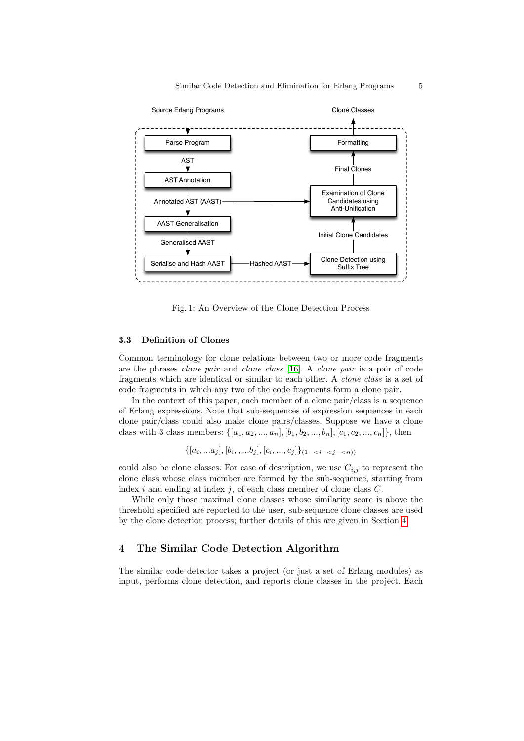

Fig. 1: An Overview of the Clone Detection Process

#### 3.3 Definition of Clones

Common terminology for clone relations between two or more code fragments are the phrases clone pair and clone class [\[16\]](#page-14-12). A clone pair is a pair of code fragments which are identical or similar to each other. A clone class is a set of code fragments in which any two of the code fragments form a clone pair.

In the context of this paper, each member of a clone pair/class is a sequence of Erlang expressions. Note that sub-sequences of expression sequences in each clone pair/class could also make clone pairs/classes. Suppose we have a clone class with 3 class members:  $\{[a_1, a_2, ..., a_n], [b_1, b_2, ..., b_n], [c_1, c_2, ..., c_n]\},$  then

$$
\{[a_i, ... a_j], [b_i, ..., b_j], [c_i, ..., c_j]\}_{(1 = \langle i = \langle j = \langle n \rangle)}
$$

could also be clone classes. For ease of description, we use  $C_{i,j}$  to represent the clone class whose class member are formed by the sub-sequence, starting from index  $i$  and ending at index  $j$ , of each class member of clone class  $C$ .

While only those maximal clone classes whose similarity score is above the threshold specified are reported to the user, sub-sequence clone classes are used by the clone detection process; further details of this are given in Section [4.](#page-4-0)

#### 4 The Similar Code Detection Algorithm

The similar code detector takes a project (or just a set of Erlang modules) as input, performs clone detection, and reports clone classes in the project. Each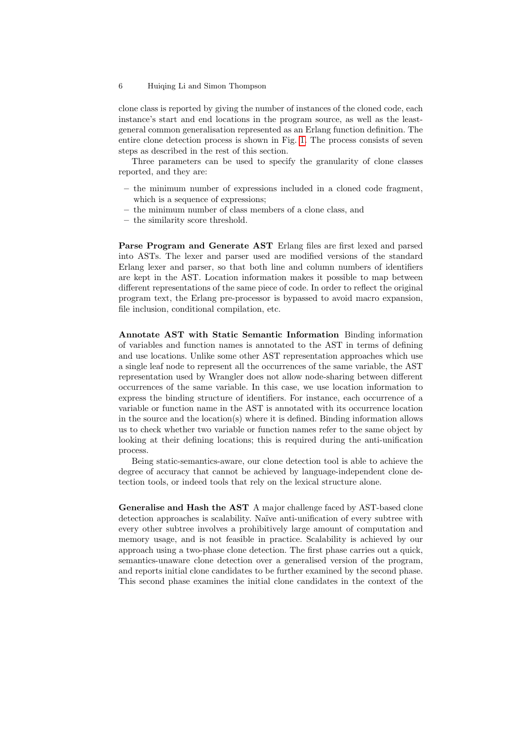clone class is reported by giving the number of instances of the cloned code, each instance's start and end locations in the program source, as well as the leastgeneral common generalisation represented as an Erlang function definition. The entire clone detection process is shown in Fig. [1.](#page-4-1) The process consists of seven steps as described in the rest of this section.

Three parameters can be used to specify the granularity of clone classes reported, and they are:

- the minimum number of expressions included in a cloned code fragment, which is a sequence of expressions:
- the minimum number of class members of a clone class, and
- the similarity score threshold.

Parse Program and Generate AST Erlang files are first lexed and parsed into ASTs. The lexer and parser used are modified versions of the standard Erlang lexer and parser, so that both line and column numbers of identifiers are kept in the AST. Location information makes it possible to map between different representations of the same piece of code. In order to reflect the original program text, the Erlang pre-processor is bypassed to avoid macro expansion, file inclusion, conditional compilation, etc.

Annotate AST with Static Semantic Information Binding information of variables and function names is annotated to the AST in terms of defining and use locations. Unlike some other AST representation approaches which use a single leaf node to represent all the occurrences of the same variable, the AST representation used by Wrangler does not allow node-sharing between different occurrences of the same variable. In this case, we use location information to express the binding structure of identifiers. For instance, each occurrence of a variable or function name in the AST is annotated with its occurrence location in the source and the location(s) where it is defined. Binding information allows us to check whether two variable or function names refer to the same object by looking at their defining locations; this is required during the anti-unification process.

Being static-semantics-aware, our clone detection tool is able to achieve the degree of accuracy that cannot be achieved by language-independent clone detection tools, or indeed tools that rely on the lexical structure alone.

Generalise and Hash the AST A major challenge faced by AST-based clone detection approaches is scalability. Naïve anti-unification of every subtree with every other subtree involves a prohibitively large amount of computation and memory usage, and is not feasible in practice. Scalability is achieved by our approach using a two-phase clone detection. The first phase carries out a quick, semantics-unaware clone detection over a generalised version of the program, and reports initial clone candidates to be further examined by the second phase. This second phase examines the initial clone candidates in the context of the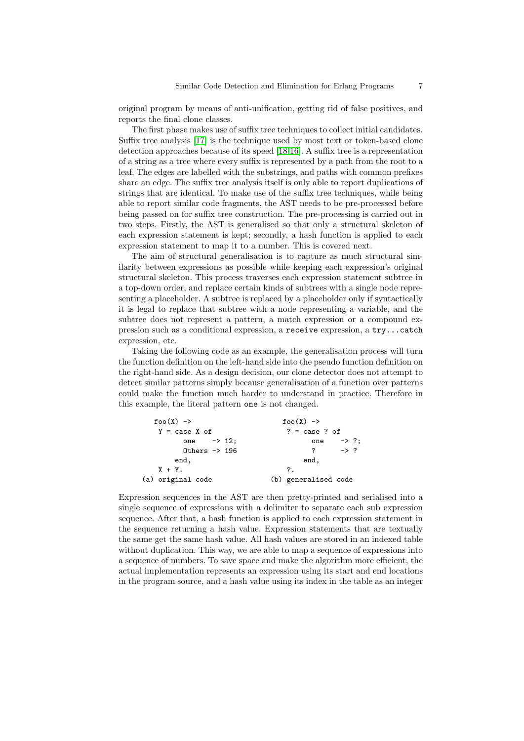original program by means of anti-unification, getting rid of false positives, and reports the final clone classes.

The first phase makes use of suffix tree techniques to collect initial candidates. Suffix tree analysis [\[17\]](#page-14-13) is the technique used by most text or token-based clone detection approaches because of its speed [\[18](#page-14-14)[,16\]](#page-14-12). A suffix tree is a representation of a string as a tree where every suffix is represented by a path from the root to a leaf. The edges are labelled with the substrings, and paths with common prefixes share an edge. The suffix tree analysis itself is only able to report duplications of strings that are identical. To make use of the suffix tree techniques, while being able to report similar code fragments, the AST needs to be pre-processed before being passed on for suffix tree construction. The pre-processing is carried out in two steps. Firstly, the AST is generalised so that only a structural skeleton of each expression statement is kept; secondly, a hash function is applied to each expression statement to map it to a number. This is covered next.

The aim of structural generalisation is to capture as much structural similarity between expressions as possible while keeping each expression's original structural skeleton. This process traverses each expression statement subtree in a top-down order, and replace certain kinds of subtrees with a single node representing a placeholder. A subtree is replaced by a placeholder only if syntactically it is legal to replace that subtree with a node representing a variable, and the subtree does not represent a pattern, a match expression or a compound expression such as a conditional expression, a receive expression, a try...catch expression, etc.

Taking the following code as an example, the generalisation process will turn the function definition on the left-hand side into the pseudo function definition on the right-hand side. As a design decision, our clone detector does not attempt to detect similar patterns simply because generalisation of a function over patterns could make the function much harder to understand in practice. Therefore in this example, the literal pattern one is not changed.

```
foo(X) \rightarrow foo(X) \rightarrowY = \text{case } X \text{ of } ? = \text{case } ? \text{ of }one \rightarrow 12; one \rightarrow ?;
       Others \rightarrow 196 ? -> ?
      end, end,
  X + Y. ?.
(a) original code (b) generalised code
```
Expression sequences in the AST are then pretty-printed and serialised into a single sequence of expressions with a delimiter to separate each sub expression sequence. After that, a hash function is applied to each expression statement in the sequence returning a hash value. Expression statements that are textually the same get the same hash value. All hash values are stored in an indexed table without duplication. This way, we are able to map a sequence of expressions into a sequence of numbers. To save space and make the algorithm more efficient, the actual implementation represents an expression using its start and end locations in the program source, and a hash value using its index in the table as an integer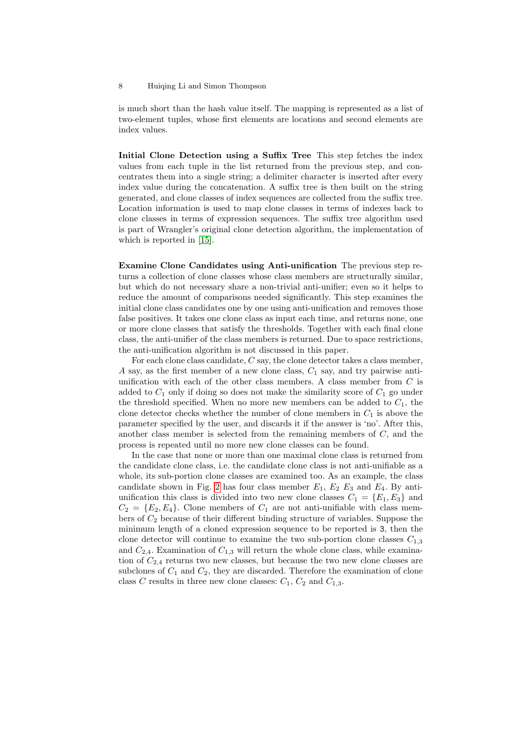<span id="page-8-1"></span>is much short than the hash value itself. The mapping is represented as a list of two-element tuples, whose first elements are locations and second elements are index values.

Initial Clone Detection using a Suffix Tree This step fetches the index values from each tuple in the list returned from the previous step, and concentrates them into a single string; a delimiter character is inserted after every index value during the concatenation. A suffix tree is then built on the string generated, and clone classes of index sequences are collected from the suffix tree. Location information is used to map clone classes in terms of indexes back to clone classes in terms of expression sequences. The suffix tree algorithm used is part of Wrangler's original clone detection algorithm, the implementation of which is reported in [\[15\]](#page-14-11).

Examine Clone Candidates using Anti-unification The previous step returns a collection of clone classes whose class members are structurally similar, but which do not necessary share a non-trivial anti-unifier; even so it helps to reduce the amount of comparisons needed significantly. This step examines the initial clone class candidates one by one using anti-unification and removes those false positives. It takes one clone class as input each time, and returns none, one or more clone classes that satisfy the thresholds. Together with each final clone class, the anti-unifier of the class members is returned. Due to space restrictions, the anti-unification algorithm is not discussed in this paper.

For each clone class candidate,  $C$  say, the clone detector takes a class member, A say, as the first member of a new clone class,  $C_1$  say, and try pairwise antiunification with each of the other class members. A class member from  $C$  is added to  $C_1$  only if doing so does not make the similarity score of  $C_1$  go under the threshold specified. When no more new members can be added to  $C_1$ , the clone detector checks whether the number of clone members in  $C_1$  is above the parameter specified by the user, and discards it if the answer is 'no'. After this, another class member is selected from the remaining members of  $C$ , and the process is repeated until no more new clone classes can be found.

<span id="page-8-0"></span>In the case that none or more than one maximal clone class is returned from the candidate clone class, i.e. the candidate clone class is not anti-unifiable as a whole, its sub-portion clone classes are examined too. As an example, the class candidate shown in Fig. [2](#page-8-1) has four class member  $E_1, E_2, E_3$  and  $E_4$ . By antiunification this class is divided into two new clone classes  $C_1 = \{E_1, E_3\}$  and  $C_2 = \{E_2, E_4\}$ . Clone members of  $C_1$  are not anti-unifiable with class members of  $C_2$  because of their different binding structure of variables. Suppose the minimum length of a cloned expression sequence to be reported is 3, then the clone detector will continue to examine the two sub-portion clone classes  $C_{1,3}$ and  $C_{2,4}$ . Examination of  $C_{1,3}$  will return the whole clone class, while examination of  $C_{2,4}$  returns two new classes, but because the two new clone classes are subclones of  $C_1$  and  $C_2$ , they are discarded. Therefore the examination of clone class C results in three new clone classes:  $C_1$ ,  $C_2$  and  $C_{1,3}$ .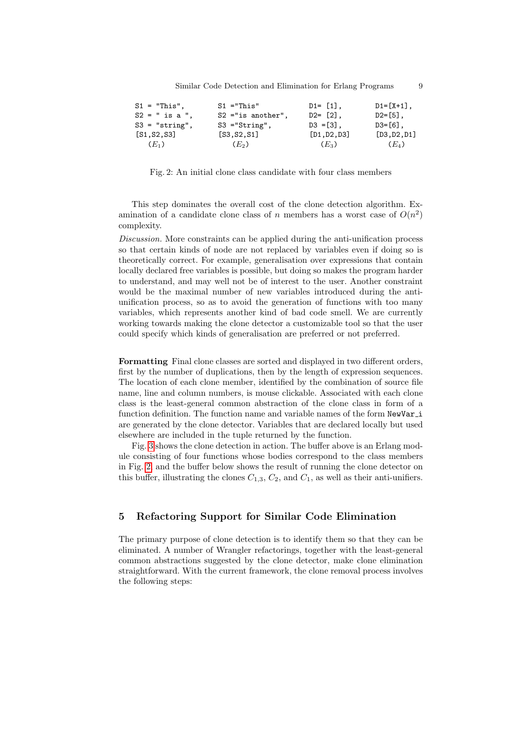<span id="page-9-0"></span>

| $S1 = "This".$   | $S1 = "This"$       | $D1 = [1],$  | $D1 = [X+1]$ , |
|------------------|---------------------|--------------|----------------|
| $S2 = " is a".$  | $S2$ ="is another", | $D2 = [2]$ , | $D2 = [5]$ ,   |
| $S3 = "string",$ | $S3 = "String",$    | $D3 = [3]$ , | $D3 = [6]$ ,   |
| [S1, S2, S3]     | [S3, S2, S1]        | [D1, D2, D3] | [D3, D2, D1]   |
| $(E_1)$          | $(E_2)$             | $(E_3)$      | $(E_4)$        |

Fig. 2: An initial clone class candidate with four class members

This step dominates the overall cost of the clone detection algorithm. Examination of a candidate clone class of n members has a worst case of  $O(n^2)$ complexity.

Discussion. More constraints can be applied during the anti-unification process so that certain kinds of node are not replaced by variables even if doing so is theoretically correct. For example, generalisation over expressions that contain locally declared free variables is possible, but doing so makes the program harder to understand, and may well not be of interest to the user. Another constraint would be the maximal number of new variables introduced during the antiunification process, so as to avoid the generation of functions with too many variables, which represents another kind of bad code smell. We are currently working towards making the clone detector a customizable tool so that the user could specify which kinds of generalisation are preferred or not preferred.

Formatting Final clone classes are sorted and displayed in two different orders, first by the number of duplications, then by the length of expression sequences. The location of each clone member, identified by the combination of source file name, line and column numbers, is mouse clickable. Associated with each clone class is the least-general common abstraction of the clone class in form of a function definition. The function name and variable names of the form NewVar<sub>-</sub> are generated by the clone detector. Variables that are declared locally but used elsewhere are included in the tuple returned by the function.

Fig. [3](#page-9-0) shows the clone detection in action. The buffer above is an Erlang module consisting of four functions whose bodies correspond to the class members in Fig. [2,](#page-8-1) and the buffer below shows the result of running the clone detector on this buffer, illustrating the clones  $C_{1,3}$ ,  $C_2$ , and  $C_1$ , as well as their anti-unifiers.

#### 5 Refactoring Support for Similar Code Elimination

The primary purpose of clone detection is to identify them so that they can be eliminated. A number of Wrangler refactorings, together with the least-general common abstractions suggested by the clone detector, make clone elimination straightforward. With the current framework, the clone removal process involves the following steps: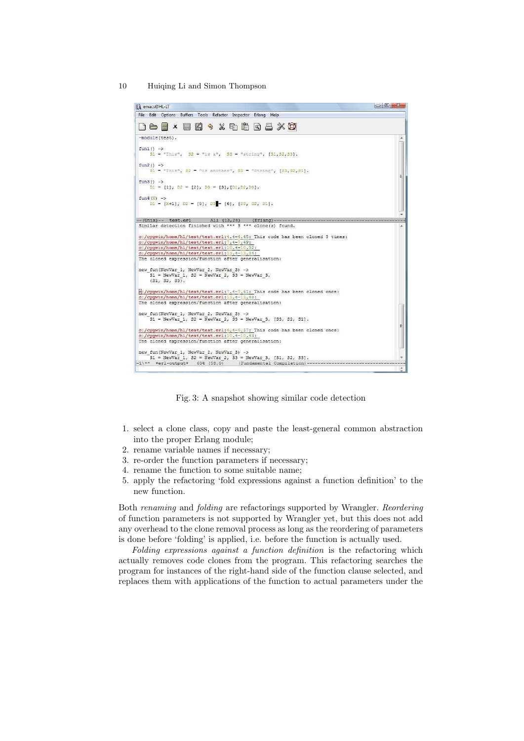<span id="page-10-1"></span>

Fig. 3: A snapshot showing similar code detection

- 1. select a clone class, copy and paste the least-general common abstraction into the proper Erlang module;
- 2. rename variable names if necessary;
- 3. re-order the function parameters if necessary;
- 4. rename the function to some suitable name;
- 5. apply the refactoring 'fold expressions against a function definition' to the new function.

Both renaming and folding are refactorings supported by Wrangler. Reordering of function parameters is not supported by Wrangler yet, but this does not add any overhead to the clone removal process as long as the reordering of parameters is done before 'folding' is applied, i.e. before the function is actually used.

<span id="page-10-0"></span>Folding expressions against a function definition is the refactoring which actually removes code clones from the program. This refactoring searches the program for instances of the right-hand side of the function clause selected, and replaces them with applications of the function to actual parameters under the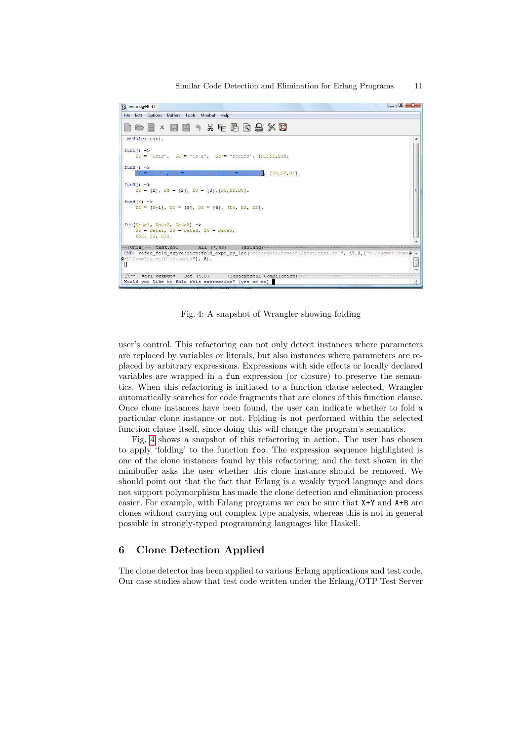

Fig. 4: A snapshot of Wrangler showing folding

user's control. This refactoring can not only detect instances where parameters are replaced by variables or literals, but also instances where parameters are replaced by arbitrary expressions. Expressions with side effects or locally declared variables are wrapped in a fun expression (or closure) to preserve the semantics. When this refactoring is initiated to a function clause selected, Wrangler automatically searches for code fragments that are clones of this function clause. Once clone instances have been found, the user can indicate whether to fold a particular clone instance or not. Folding is not performed within the selected function clause itself, since doing this will change the program's semantics.

Fig. [4](#page-10-1) shows a snapshot of this refactoring in action. The user has chosen to apply 'folding' to the function foo. The expression sequence highlighted is one of the clone instances found by this refactoring, and the text shown in the minibuffer asks the user whether this clone instance should be removed. We should point out that the fact that Erlang is a weakly typed language and does not support polymorphism has made the clone detection and elimination process easier. For example, with Erlang programs we can be sure that X+Y and A+B are clones without carrying out complex type analysis, whereas this is not in general possible in strongly-typed programming languages like Haskell.

#### <span id="page-11-0"></span>6 Clone Detection Applied

The clone detector has been applied to various Erlang applications and test code. Our case studies show that test code written under the Erlang/OTP Test Server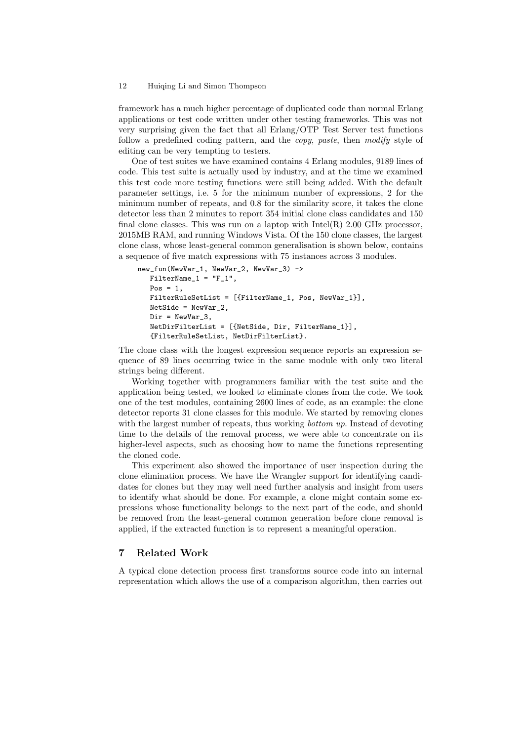framework has a much higher percentage of duplicated code than normal Erlang applications or test code written under other testing frameworks. This was not very surprising given the fact that all Erlang/OTP Test Server test functions follow a predefined coding pattern, and the copy, paste, then modify style of editing can be very tempting to testers.

One of test suites we have examined contains 4 Erlang modules, 9189 lines of code. This test suite is actually used by industry, and at the time we examined this test code more testing functions were still being added. With the default parameter settings, i.e. 5 for the minimum number of expressions, 2 for the minimum number of repeats, and 0.8 for the similarity score, it takes the clone detector less than 2 minutes to report 354 initial clone class candidates and 150 final clone classes. This was run on a laptop with  $Intel(R)$  2.00 GHz processor, 2015MB RAM, and running Windows Vista. Of the 150 clone classes, the largest clone class, whose least-general common generalisation is shown below, contains a sequence of five match expressions with 75 instances across 3 modules.

```
new_fun(NewVar_1, NewVar_2, NewVar_3) ->
  FinterName_1 = "F_1",Pos = 1.
   FilterRuleSetList = [{FilterName_1, Pos, NewVar_1}],
   NetSide = NewVar_2,
   Dir = NewVar_3,
   NetDirFilterList = [{NetSide, Dir, FilterName_1}],
   {FilterRuleSetList, NetDirFilterList}.
```
The clone class with the longest expression sequence reports an expression sequence of 89 lines occurring twice in the same module with only two literal strings being different.

Working together with programmers familiar with the test suite and the application being tested, we looked to eliminate clones from the code. We took one of the test modules, containing 2600 lines of code, as an example: the clone detector reports 31 clone classes for this module. We started by removing clones with the largest number of repeats, thus working *bottom up*. Instead of devoting time to the details of the removal process, we were able to concentrate on its higher-level aspects, such as choosing how to name the functions representing the cloned code.

This experiment also showed the importance of user inspection during the clone elimination process. We have the Wrangler support for identifying candidates for clones but they may well need further analysis and insight from users to identify what should be done. For example, a clone might contain some expressions whose functionality belongs to the next part of the code, and should be removed from the least-general common generation before clone removal is applied, if the extracted function is to represent a meaningful operation.

#### 7 Related Work

A typical clone detection process first transforms source code into an internal representation which allows the use of a comparison algorithm, then carries out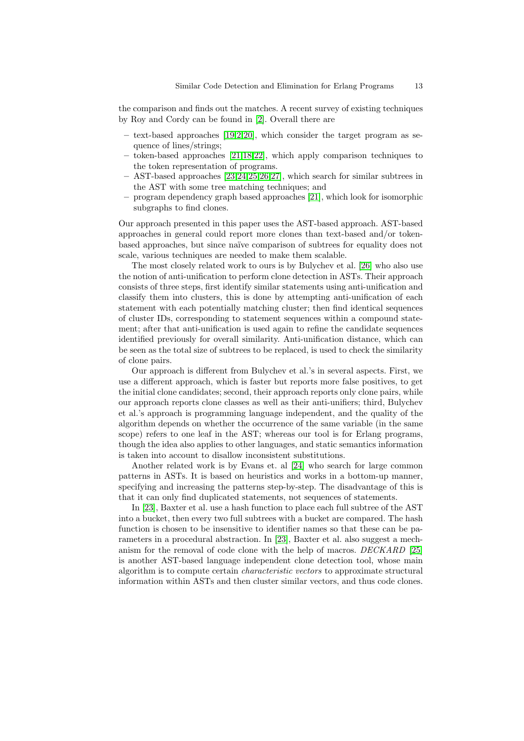the comparison and finds out the matches. A recent survey of existing techniques by Roy and Cordy can be found in [\[2\]](#page-13-1). Overall there are

- $-$  text-based approaches [\[19](#page-14-15)[,2,](#page-13-1)[20\]](#page-14-16), which consider the target program as sequence of lines/strings;
- token-based approaches [\[21](#page-14-17)[,18,](#page-14-14)[22\]](#page-14-18), which apply comparison techniques to the token representation of programs.
- <span id="page-13-3"></span>– AST-based approaches [\[23,](#page-14-19)[24](#page-14-20)[,25](#page-14-21)[,26](#page-14-22)[,27\]](#page-14-23), which search for similar subtrees in the AST with some tree matching techniques; and
- program dependency graph based approaches [\[21\]](#page-14-17), which look for isomorphic subgraphs to find clones.

Our approach presented in this paper uses the AST-based approach. AST-based approaches in general could report more clones than text-based and/or tokenbased approaches, but since naïve comparison of subtrees for equality does not scale, various techniques are needed to make them scalable.

The most closely related work to ours is by Bulychev et al. [\[26\]](#page-14-22) who also use the notion of anti-unification to perform clone detection in ASTs. Their approach consists of three steps, first identify similar statements using anti-unification and classify them into clusters, this is done by attempting anti-unification of each statement with each potentially matching cluster; then find identical sequences of cluster IDs, corresponding to statement sequences within a compound statement; after that anti-unification is used again to refine the candidate sequences identified previously for overall similarity. Anti-unification distance, which can be seen as the total size of subtrees to be replaced, is used to check the similarity of clone pairs.

Our approach is different from Bulychev et al.'s in several aspects. First, we use a different approach, which is faster but reports more false positives, to get the initial clone candidates; second, their approach reports only clone pairs, while our approach reports clone classes as well as their anti-unifiers; third, Bulychev et al.'s approach is programming language independent, and the quality of the algorithm depends on whether the occurrence of the same variable (in the same scope) refers to one leaf in the AST; whereas our tool is for Erlang programs, though the idea also applies to other languages, and static semantics information is taken into account to disallow inconsistent substitutions.

Another related work is by Evans et. al [\[24\]](#page-14-20) who search for large common patterns in ASTs. It is based on heuristics and works in a bottom-up manner, specifying and increasing the patterns step-by-step. The disadvantage of this is that it can only find duplicated statements, not sequences of statements.

<span id="page-13-2"></span><span id="page-13-1"></span><span id="page-13-0"></span>In [\[23\]](#page-14-19), Baxter et al. use a hash function to place each full subtree of the AST into a bucket, then every two full subtrees with a bucket are compared. The hash function is chosen to be insensitive to identifier names so that these can be parameters in a procedural abstraction. In [\[23\]](#page-14-19), Baxter et al. also suggest a mechanism for the removal of code clone with the help of macros. DECKARD [\[25\]](#page-14-21) is another AST-based language independent clone detection tool, whose main algorithm is to compute certain characteristic vectors to approximate structural information within ASTs and then cluster similar vectors, and thus code clones.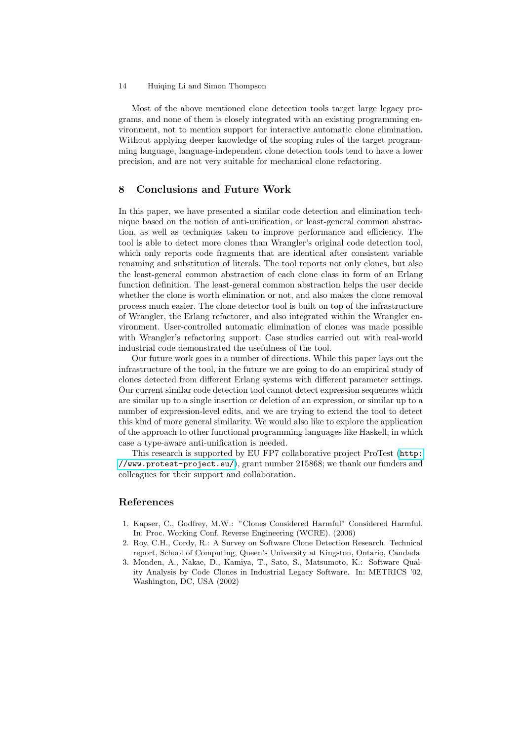<span id="page-14-1"></span><span id="page-14-0"></span>Most of the above mentioned clone detection tools target large legacy programs, and none of them is closely integrated with an existing programming environment, not to mention support for interactive automatic clone elimination. Without applying deeper knowledge of the scoping rules of the target programming language, language-independent clone detection tools tend to have a lower precision, and are not very suitable for mechanical clone refactoring.

#### <span id="page-14-4"></span><span id="page-14-3"></span><span id="page-14-2"></span>8 Conclusions and Future Work

<span id="page-14-9"></span><span id="page-14-8"></span><span id="page-14-7"></span><span id="page-14-6"></span><span id="page-14-5"></span>In this paper, we have presented a similar code detection and elimination technique based on the notion of anti-unification, or least-general common abstraction, as well as techniques taken to improve performance and efficiency. The tool is able to detect more clones than Wrangler's original code detection tool, which only reports code fragments that are identical after consistent variable renaming and substitution of literals. The tool reports not only clones, but also the least-general common abstraction of each clone class in form of an Erlang function definition. The least-general common abstraction helps the user decide whether the clone is worth elimination or not, and also makes the clone removal process much easier. The clone detector tool is built on top of the infrastructure of Wrangler, the Erlang refactorer, and also integrated within the Wrangler environment. User-controlled automatic elimination of clones was made possible with Wrangler's refactoring support. Case studies carried out with real-world industrial code demonstrated the usefulness of the tool.

<span id="page-14-15"></span><span id="page-14-14"></span><span id="page-14-13"></span><span id="page-14-12"></span><span id="page-14-11"></span><span id="page-14-10"></span>Our future work goes in a number of directions. While this paper lays out the infrastructure of the tool, in the future we are going to do an empirical study of clones detected from different Erlang systems with different parameter settings. Our current similar code detection tool cannot detect expression sequences which are similar up to a single insertion or deletion of an expression, or similar up to a number of expression-level edits, and we are trying to extend the tool to detect this kind of more general similarity. We would also like to explore the application of the approach to other functional programming languages like Haskell, in which case a type-aware anti-unification is needed.

<span id="page-14-18"></span><span id="page-14-17"></span><span id="page-14-16"></span>This research is supported by EU FP7 collaborative project ProTest ([http:](http://www.protest-project.eu/) [//www.protest-project.eu/](http://www.protest-project.eu/)), grant number 215868; we thank our funders and colleagues for their support and collaboration.

#### <span id="page-14-20"></span><span id="page-14-19"></span>References

- <span id="page-14-21"></span>1. Kapser, C., Godfrey, M.W.: "Clones Considered Harmful" Considered Harmful. In: Proc. Working Conf. Reverse Engineering (WCRE). (2006)
- <span id="page-14-22"></span>2. Roy, C.H., Cordy, R.: A Survey on Software Clone Detection Research. Technical report, School of Computing, Queen's University at Kingston, Ontario, Candada
- <span id="page-14-23"></span>3. Monden, A., Nakae, D., Kamiya, T., Sato, S., Matsumoto, K.: Software Quality Analysis by Code Clones in Industrial Legacy Software. In: METRICS '02, Washington, DC, USA (2002)